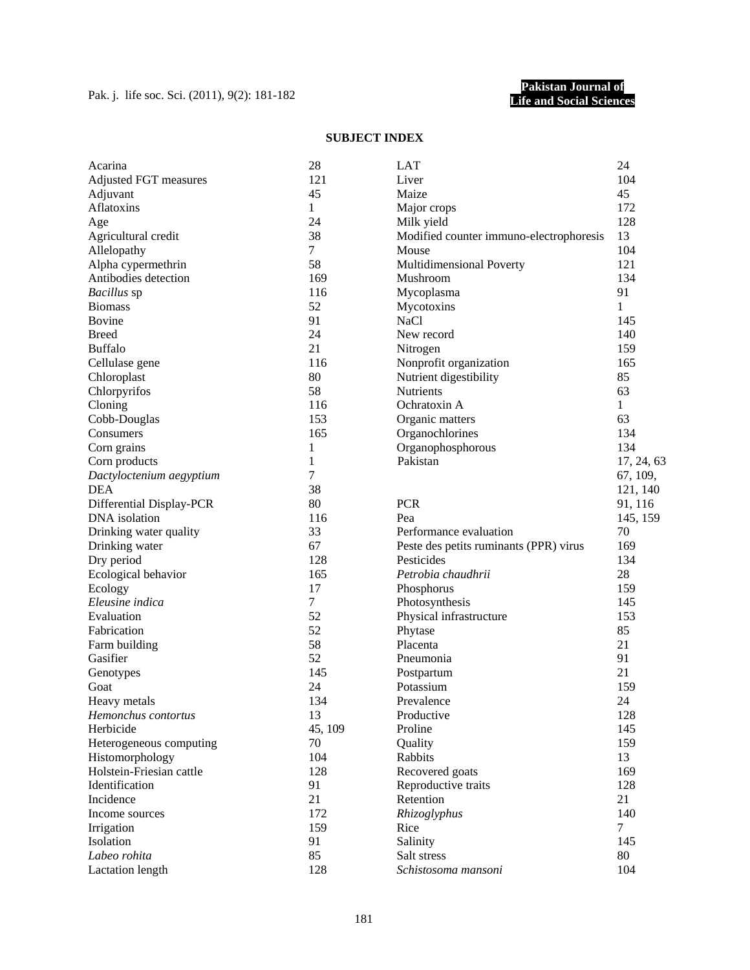## **SUBJECT INDEX**

| Acarina                                   | 28             | <b>LAT</b>                                           | 24             |
|-------------------------------------------|----------------|------------------------------------------------------|----------------|
| Adjusted FGT measures                     | 121            | Liver                                                | 104            |
| Adjuvant                                  | 45             | Maize                                                | 45             |
| Aflatoxins                                | $\mathbf{1}$   | Major crops                                          | 172            |
| Age                                       | 24             | Milk yield                                           | 128            |
| Agricultural credit                       | 38             | Modified counter immuno-electrophoresis              | 13             |
| Allelopathy                               | $\tau$         | Mouse                                                | 104            |
| Alpha cypermethrin                        | 58             | Multidimensional Poverty                             | 121            |
| Antibodies detection                      | 169            | Mushroom                                             | 134            |
| Bacillus sp                               | 116            | Mycoplasma                                           | 91             |
| <b>Biomass</b>                            | 52             | Mycotoxins                                           | 1              |
| <b>Bovine</b>                             | 91             | <b>NaCl</b>                                          | 145            |
| <b>Breed</b>                              | 24             | New record                                           | 140            |
| <b>Buffalo</b>                            | 21             | Nitrogen                                             | 159            |
| Cellulase gene                            | 116            | Nonprofit organization                               | 165            |
| Chloroplast                               | 80             | Nutrient digestibility                               | 85             |
| Chlorpyrifos                              | 58             | Nutrients                                            | 63             |
| Cloning                                   | 116            | Ochratoxin A                                         | 1              |
| Cobb-Douglas                              | 153            | Organic matters                                      | 63             |
| Consumers                                 | 165            | Organochlorines                                      | 134            |
| Corn grains                               | 1              | Organophosphorous                                    | 134            |
| Corn products                             | 1              | Pakistan                                             | 17, 24, 63     |
| Dactyloctenium aegyptium                  | 7              |                                                      | 67, 109,       |
| <b>DEA</b>                                | 38             |                                                      | 121, 140       |
|                                           | 80             | <b>PCR</b>                                           |                |
| Differential Display-PCR<br>DNA isolation | 116            | Pea                                                  | 91, 116        |
|                                           | 33             |                                                      | 145, 159<br>70 |
| Drinking water quality                    |                | Performance evaluation                               |                |
| Drinking water                            | 67<br>128      | Peste des petits ruminants (PPR) virus<br>Pesticides | 169            |
| Dry period                                |                |                                                      | 134            |
| Ecological behavior                       | 165            | Petrobia chaudhrii                                   | 28             |
| Ecology                                   | 17             | Phosphorus                                           | 159            |
| Eleusine indica                           | $\overline{7}$ | Photosynthesis                                       | 145            |
| Evaluation                                | 52             | Physical infrastructure                              | 153            |
| Fabrication                               | 52             | Phytase                                              | 85             |
| Farm building                             | 58             | Placenta                                             | 21             |
| Gasifier                                  | 52             | Pneumonia                                            | 91             |
| Genotypes                                 | 145            | Postpartum                                           | 21             |
| Goat                                      | 24             | Potassium                                            | 159            |
| Heavy metals                              | 134            | Prevalence                                           | 24             |
| Hemonchus contortus                       | 13             | Productive                                           | 128            |
| Herbicide                                 | 45, 109        | Proline                                              | 145            |
| Heterogeneous computing                   | 70             | Quality                                              | 159            |
| Histomorphology                           | 104            | Rabbits                                              | 13             |
| Holstein-Friesian cattle                  | 128            | Recovered goats                                      | 169            |
| Identification                            | 91             | Reproductive traits                                  | 128            |
| Incidence                                 | 21             | Retention                                            | 21             |
| Income sources                            | 172            | Rhizoglyphus                                         | 140            |
| Irrigation                                | 159            | Rice                                                 | $\tau$         |
| Isolation                                 | 91             | Salinity                                             | 145            |
| Labeo rohita                              | 85             | Salt stress                                          | 80             |
| <b>Lactation</b> length                   | 128            | Schistosoma mansoni                                  | 104            |